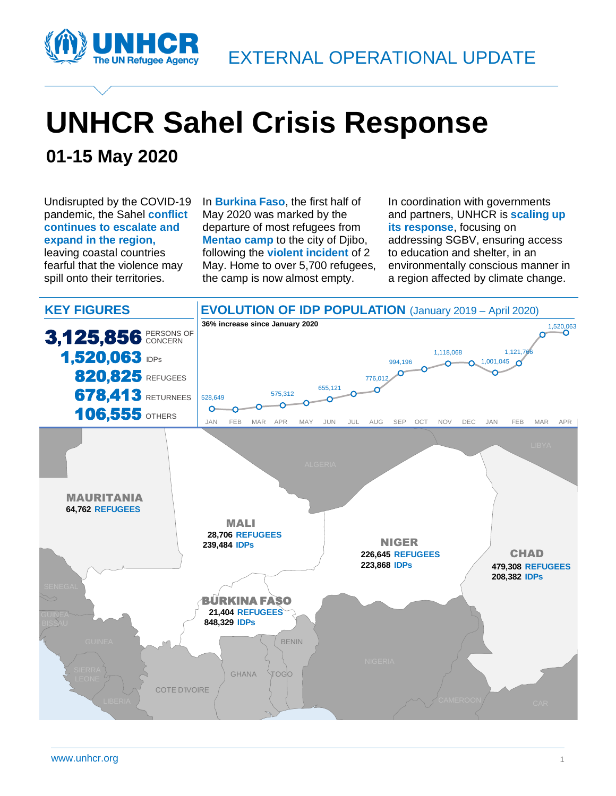

# **UNHCR Sahel Crisis Response**

### **01-15 May 2020**

Undisrupted by the COVID-19 pandemic, the Sahel **conflict continues to escalate and expand in the region,**  leaving coastal countries fearful that the violence may spill onto their territories.

In **Burkina Faso**, the first half of May 2020 was marked by the departure of most refugees from **Mentao camp** to the city of Djibo, following the **violent incident** of 2 May. Home to over 5,700 refugees, the camp is now almost empty.

In coordination with governments and partners, UNHCR is **scaling up its response**, focusing on addressing SGBV, ensuring access to education and shelter, in an environmentally conscious manner in a region affected by climate change.

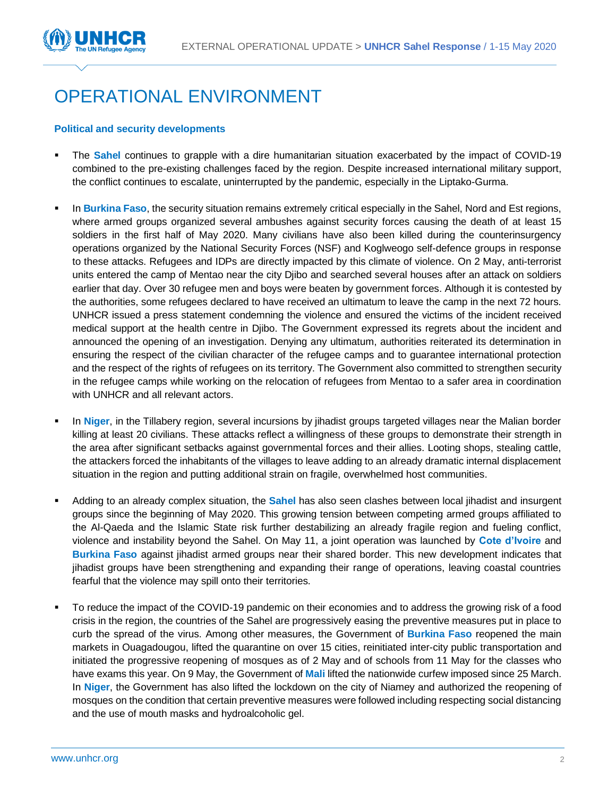

### OPERATIONAL ENVIRONMENT

#### **Political and security developments**

- The **Sahel** continues to grapple with a dire humanitarian situation exacerbated by the impact of COVID-19 combined to the pre-existing challenges faced by the region. Despite increased international military support, the conflict continues to escalate, uninterrupted by the pandemic, especially in the Liptako-Gurma.
- **EXECT In Burkina Faso**, the security situation remains extremely critical especially in the Sahel, Nord and Est regions, where armed groups organized several ambushes against security forces causing the death of at least 15 soldiers in the first half of May 2020. Many civilians have also been killed during the counterinsurgency operations organized by the National Security Forces (NSF) and Koglweogo self-defence groups in response to these attacks. Refugees and IDPs are directly impacted by this climate of violence. On 2 May, anti-terrorist units entered the camp of Mentao near the city Djibo and searched several houses after an attack on soldiers earlier that day. Over 30 refugee men and boys were beaten by government forces. Although it is contested by the authorities, some refugees declared to have received an ultimatum to leave the camp in the next 72 hours. UNHCR issued a press statement condemning the violence and ensured the victims of the incident received medical support at the health centre in Djibo. The Government expressed its regrets about the incident and announced the opening of an investigation. Denying any ultimatum, authorities reiterated its determination in ensuring the respect of the civilian character of the refugee camps and to guarantee international protection and the respect of the rights of refugees on its territory. The Government also committed to strengthen security in the refugee camps while working on the relocation of refugees from Mentao to a safer area in coordination with UNHCR and all relevant actors.
- In **Niger**, in the Tillabery region, several incursions by jihadist groups targeted villages near the Malian border killing at least 20 civilians. These attacks reflect a willingness of these groups to demonstrate their strength in the area after significant setbacks against governmental forces and their allies. Looting shops, stealing cattle, the attackers forced the inhabitants of the villages to leave adding to an already dramatic internal displacement situation in the region and putting additional strain on fragile, overwhelmed host communities.
- Adding to an already complex situation, the **Sahel** has also seen clashes between local jihadist and insurgent groups since the beginning of May 2020. This growing tension between competing armed groups affiliated to the Al-Qaeda and the Islamic State risk further destabilizing an already fragile region and fueling conflict, violence and instability beyond the Sahel. On May 11, a joint operation was launched by **Cote d'Ivoire** and **Burkina Faso** against jihadist armed groups near their shared border. This new development indicates that jihadist groups have been strengthening and expanding their range of operations, leaving coastal countries fearful that the violence may spill onto their territories.
- To reduce the impact of the COVID-19 pandemic on their economies and to address the growing risk of a food crisis in the region, the countries of the Sahel are progressively easing the preventive measures put in place to curb the spread of the virus. Among other measures, the Government of **Burkina Faso** reopened the main markets in Ouagadougou, lifted the quarantine on over 15 cities, reinitiated inter-city public transportation and initiated the progressive reopening of mosques as of 2 May and of schools from 11 May for the classes who have exams this year. On 9 May, the Government of **Mali** lifted the nationwide curfew imposed since 25 March. In **Niger**, the Government has also lifted the lockdown on the city of Niamey and authorized the reopening of mosques on the condition that certain preventive measures were followed including respecting social distancing and the use of mouth masks and hydroalcoholic gel.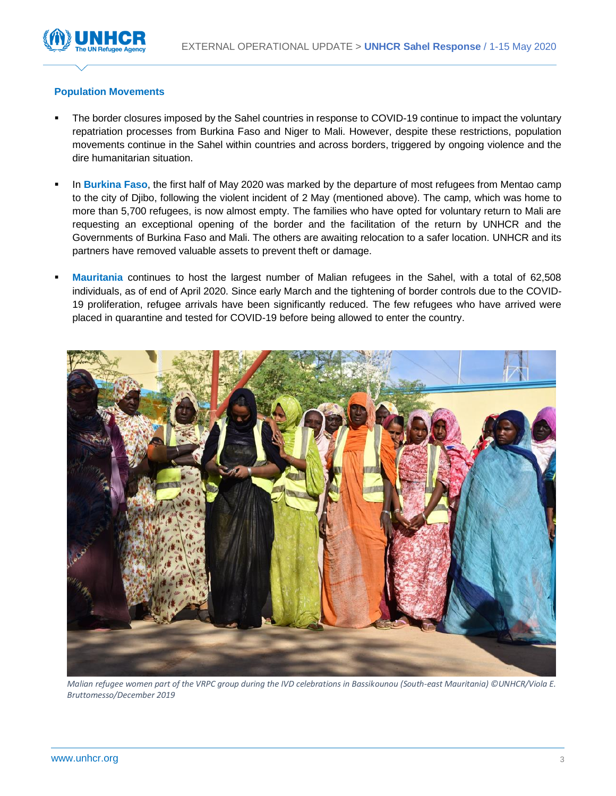

### **Population Movements**

- The border closures imposed by the Sahel countries in response to COVID-19 continue to impact the voluntary repatriation processes from Burkina Faso and Niger to Mali. However, despite these restrictions, population movements continue in the Sahel within countries and across borders, triggered by ongoing violence and the dire humanitarian situation.
- In **Burkina Faso**, the first half of May 2020 was marked by the departure of most refugees from Mentao camp to the city of Djibo, following the violent incident of 2 May (mentioned above). The camp, which was home to more than 5,700 refugees, is now almost empty. The families who have opted for voluntary return to Mali are requesting an exceptional opening of the border and the facilitation of the return by UNHCR and the Governments of Burkina Faso and Mali. The others are awaiting relocation to a safer location. UNHCR and its partners have removed valuable assets to prevent theft or damage.
- **Mauritania** continues to host the largest number of Malian refugees in the Sahel, with a total of 62,508 individuals, as of end of April 2020. Since early March and the tightening of border controls due to the COVID-19 proliferation, refugee arrivals have been significantly reduced. The few refugees who have arrived were placed in quarantine and tested for COVID-19 before being allowed to enter the country.



*Malian refugee women part of the VRPC group during the IVD celebrations in Bassikounou (South-east Mauritania) ©UNHCR/Viola E. Bruttomesso/December 2019*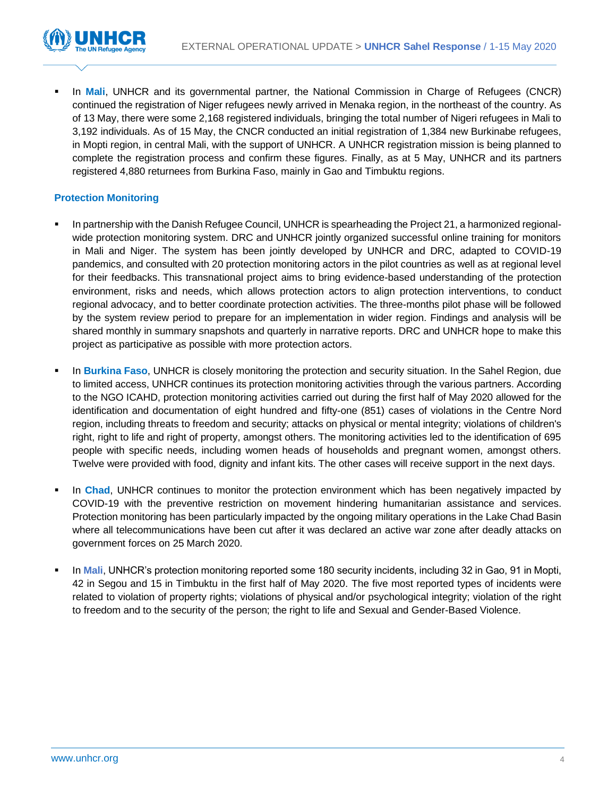

In Mali, UNHCR and its governmental partner, the National Commission in Charge of Refugees (CNCR) continued the registration of Niger refugees newly arrived in Menaka region, in the northeast of the country. As of 13 May, there were some 2,168 registered individuals, bringing the total number of Nigeri refugees in Mali to 3,192 individuals. As of 15 May, the CNCR conducted an initial registration of 1,384 new Burkinabe refugees, in Mopti region, in central Mali, with the support of UNHCR. A UNHCR registration mission is being planned to complete the registration process and confirm these figures. Finally, as at 5 May, UNHCR and its partners registered 4,880 returnees from Burkina Faso, mainly in Gao and Timbuktu regions.

### **Protection Monitoring**

- In partnership with the Danish Refugee Council, UNHCR is spearheading the Project 21, a harmonized regionalwide protection monitoring system. DRC and UNHCR jointly organized successful online training for monitors in Mali and Niger. The system has been jointly developed by UNHCR and DRC, adapted to COVID-19 pandemics, and consulted with 20 protection monitoring actors in the pilot countries as well as at regional level for their feedbacks. This transnational project aims to bring evidence-based understanding of the protection environment, risks and needs, which allows protection actors to align protection interventions, to conduct regional advocacy, and to better coordinate protection activities. The three-months pilot phase will be followed by the system review period to prepare for an implementation in wider region. Findings and analysis will be shared monthly in summary snapshots and quarterly in narrative reports. DRC and UNHCR hope to make this project as participative as possible with more protection actors.
- In **Burkina Faso**, UNHCR is closely monitoring the protection and security situation. In the Sahel Region, due to limited access, UNHCR continues its protection monitoring activities through the various partners. According to the NGO ICAHD, protection monitoring activities carried out during the first half of May 2020 allowed for the identification and documentation of eight hundred and fifty-one (851) cases of violations in the Centre Nord region, including threats to freedom and security; attacks on physical or mental integrity; violations of children's right, right to life and right of property, amongst others. The monitoring activities led to the identification of 695 people with specific needs, including women heads of households and pregnant women, amongst others. Twelve were provided with food, dignity and infant kits. The other cases will receive support in the next days.
- In **Chad**, UNHCR continues to monitor the protection environment which has been negatively impacted by COVID-19 with the preventive restriction on movement hindering humanitarian assistance and services. Protection monitoring has been particularly impacted by the ongoing military operations in the Lake Chad Basin where all telecommunications have been cut after it was declared an active war zone after deadly attacks on government forces on 25 March 2020.
- In **Mali**, UNHCR's protection monitoring reported some 180 security incidents, including 32 in Gao, 91 in Mopti, 42 in Segou and 15 in Timbuktu in the first half of May 2020. The five most reported types of incidents were related to violation of property rights; violations of physical and/or psychological integrity; violation of the right to freedom and to the security of the person; the right to life and Sexual and Gender-Based Violence.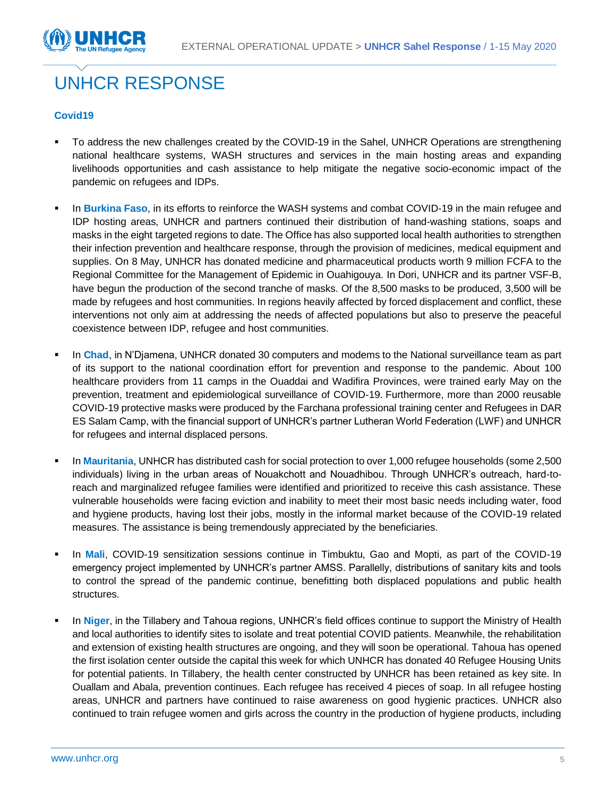

## UNHCR RESPONSE

### **Covid19**

- To address the new challenges created by the COVID-19 in the Sahel, UNHCR Operations are strengthening national healthcare systems, WASH structures and services in the main hosting areas and expanding livelihoods opportunities and cash assistance to help mitigate the negative socio-economic impact of the pandemic on refugees and IDPs.
- **EXECT** In Burkina Faso, in its efforts to reinforce the WASH systems and combat COVID-19 in the main refugee and IDP hosting areas, UNHCR and partners continued their distribution of hand-washing stations, soaps and masks in the eight targeted regions to date. The Office has also supported local health authorities to strengthen their infection prevention and healthcare response, through the provision of medicines, medical equipment and supplies. On 8 May, UNHCR has donated medicine and pharmaceutical products worth 9 million FCFA to the Regional Committee for the Management of Epidemic in Ouahigouya. In Dori, UNHCR and its partner VSF-B, have begun the production of the second tranche of masks. Of the 8,500 masks to be produced, 3,500 will be made by refugees and host communities. In regions heavily affected by forced displacement and conflict, these interventions not only aim at addressing the needs of affected populations but also to preserve the peaceful coexistence between IDP, refugee and host communities.
- In **Chad**, in N'Djamena, UNHCR donated 30 computers and modems to the National surveillance team as part of its support to the national coordination effort for prevention and response to the pandemic. About 100 healthcare providers from 11 camps in the Ouaddai and Wadifira Provinces, were trained early May on the prevention, treatment and epidemiological surveillance of COVID-19. Furthermore, more than 2000 reusable COVID-19 protective masks were produced by the Farchana professional training center and Refugees in DAR ES Salam Camp, with the financial support of UNHCR's partner Lutheran World Federation (LWF) and UNHCR for refugees and internal displaced persons.
- In Mauritania, UNHCR has distributed cash for social protection to over 1,000 refugee households (some 2,500 individuals) living in the urban areas of Nouakchott and Nouadhibou. Through UNHCR's outreach, hard-toreach and marginalized refugee families were identified and prioritized to receive this cash assistance. These vulnerable households were facing eviction and inability to meet their most basic needs including water, food and hygiene products, having lost their jobs, mostly in the informal market because of the COVID-19 related measures. The assistance is being tremendously appreciated by the beneficiaries.
- In **Mali**, COVID-19 sensitization sessions continue in Timbuktu, Gao and Mopti, as part of the COVID-19 emergency project implemented by UNHCR's partner AMSS. Parallelly, distributions of sanitary kits and tools to control the spread of the pandemic continue, benefitting both displaced populations and public health structures.
- In Niger, in the Tillabery and Tahoua regions, UNHCR's field offices continue to support the Ministry of Health and local authorities to identify sites to isolate and treat potential COVID patients. Meanwhile, the rehabilitation and extension of existing health structures are ongoing, and they will soon be operational. Tahoua has opened the first isolation center outside the capital this week for which UNHCR has donated 40 Refugee Housing Units for potential patients. In Tillabery, the health center constructed by UNHCR has been retained as key site. In Ouallam and Abala, prevention continues. Each refugee has received 4 pieces of soap. In all refugee hosting areas, UNHCR and partners have continued to raise awareness on good hygienic practices. UNHCR also continued to train refugee women and girls across the country in the production of hygiene products, including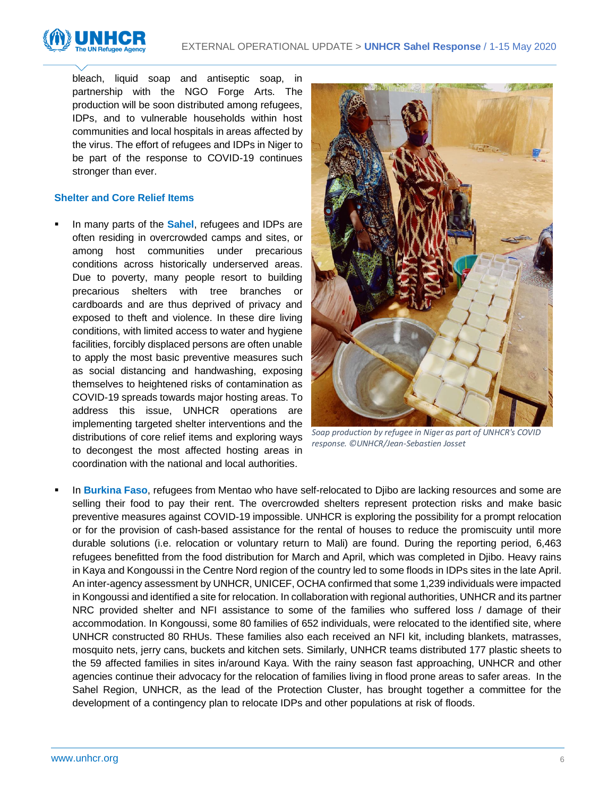

bleach, liquid soap and antiseptic soap, in partnership with the NGO Forge Arts. The production will be soon distributed among refugees, IDPs, and to vulnerable households within host communities and local hospitals in areas affected by the virus. The effort of refugees and IDPs in Niger to be part of the response to COVID-19 continues stronger than ever.

### **Shelter and Core Relief Items**

In many parts of the **Sahel**, refugees and IDPs are often residing in overcrowded camps and sites, or among host communities under precarious conditions across historically underserved areas. Due to poverty, many people resort to building precarious shelters with tree branches or cardboards and are thus deprived of privacy and exposed to theft and violence. In these dire living conditions, with limited access to water and hygiene facilities, forcibly displaced persons are often unable to apply the most basic preventive measures such as social distancing and handwashing, exposing themselves to heightened risks of contamination as COVID-19 spreads towards major hosting areas. To address this issue, UNHCR operations are implementing targeted shelter interventions and the distributions of core relief items and exploring ways to decongest the most affected hosting areas in coordination with the national and local authorities.



*Soap production by refugee in Niger as part of UNHCR's COVID response. ©UNHCR/Jean-Sebastien Josset*

In **Burkina Faso**, refugees from Mentao who have self-relocated to Djibo are lacking resources and some are selling their food to pay their rent. The overcrowded shelters represent protection risks and make basic preventive measures against COVID-19 impossible. UNHCR is exploring the possibility for a prompt relocation or for the provision of cash-based assistance for the rental of houses to reduce the promiscuity until more durable solutions (i.e. relocation or voluntary return to Mali) are found. During the reporting period, 6,463 refugees benefitted from the food distribution for March and April, which was completed in Djibo. Heavy rains in Kaya and Kongoussi in the Centre Nord region of the country led to some floods in IDPs sites in the late April. An inter-agency assessment by UNHCR, UNICEF, OCHA confirmed that some 1,239 individuals were impacted in Kongoussi and identified a site for relocation. In collaboration with regional authorities, UNHCR and its partner NRC provided shelter and NFI assistance to some of the families who suffered loss / damage of their accommodation. In Kongoussi, some 80 families of 652 individuals, were relocated to the identified site, where UNHCR constructed 80 RHUs. These families also each received an NFI kit, including blankets, matrasses, mosquito nets, jerry cans, buckets and kitchen sets. Similarly, UNHCR teams distributed 177 plastic sheets to the 59 affected families in sites in/around Kaya. With the rainy season fast approaching, UNHCR and other agencies continue their advocacy for the relocation of families living in flood prone areas to safer areas. In the Sahel Region, UNHCR, as the lead of the Protection Cluster, has brought together a committee for the development of a contingency plan to relocate IDPs and other populations at risk of floods.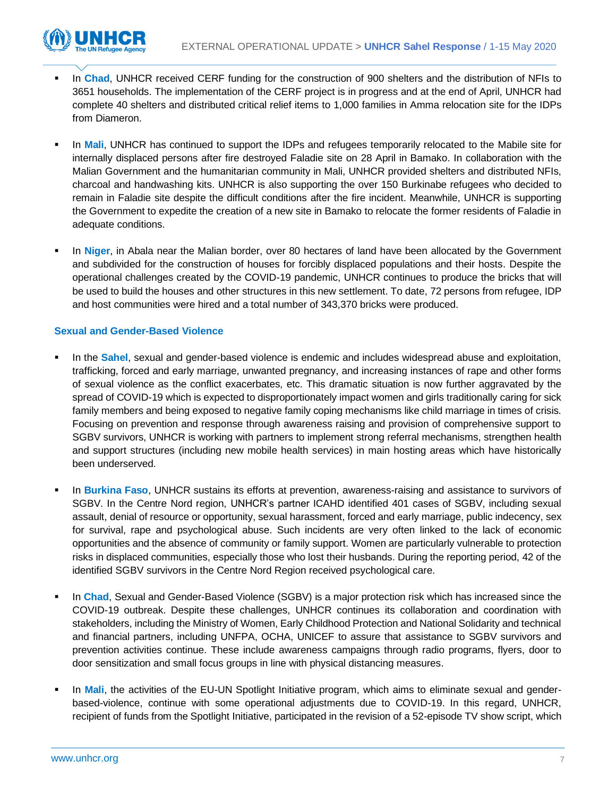

- In **Chad**, UNHCR received CERF funding for the construction of 900 shelters and the distribution of NFIs to 3651 households. The implementation of the CERF project is in progress and at the end of April, UNHCR had complete 40 shelters and distributed critical relief items to 1,000 families in Amma relocation site for the IDPs from Diameron.
- In Mali, UNHCR has continued to support the IDPs and refugees temporarily relocated to the Mabile site for internally displaced persons after fire destroyed Faladie site on 28 April in Bamako. In collaboration with the Malian Government and the humanitarian community in Mali, UNHCR provided shelters and distributed NFIs, charcoal and handwashing kits. UNHCR is also supporting the over 150 Burkinabe refugees who decided to remain in Faladie site despite the difficult conditions after the fire incident. Meanwhile, UNHCR is supporting the Government to expedite the creation of a new site in Bamako to relocate the former residents of Faladie in adequate conditions.
- In Niger, in Abala near the Malian border, over 80 hectares of land have been allocated by the Government and subdivided for the construction of houses for forcibly displaced populations and their hosts. Despite the operational challenges created by the COVID-19 pandemic, UNHCR continues to produce the bricks that will be used to build the houses and other structures in this new settlement. To date, 72 persons from refugee, IDP and host communities were hired and a total number of 343,370 bricks were produced.

### **Sexual and Gender-Based Violence**

- In the **Sahel**, sexual and gender-based violence is endemic and includes widespread abuse and exploitation, trafficking, forced and early marriage, unwanted pregnancy, and increasing instances of rape and other forms of sexual violence as the conflict exacerbates, etc. This dramatic situation is now further aggravated by the spread of COVID-19 which is expected to disproportionately impact women and girls traditionally caring for sick family members and being exposed to negative family coping mechanisms like child marriage in times of crisis. Focusing on prevention and response through awareness raising and provision of comprehensive support to SGBV survivors, UNHCR is working with partners to implement strong referral mechanisms, strengthen health and support structures (including new mobile health services) in main hosting areas which have historically been underserved.
- In **Burkina Faso**, UNHCR sustains its efforts at prevention, awareness-raising and assistance to survivors of SGBV. In the Centre Nord region, UNHCR's partner ICAHD identified 401 cases of SGBV, including sexual assault, denial of resource or opportunity, sexual harassment, forced and early marriage, public indecency, sex for survival, rape and psychological abuse. Such incidents are very often linked to the lack of economic opportunities and the absence of community or family support. Women are particularly vulnerable to protection risks in displaced communities, especially those who lost their husbands. During the reporting period, 42 of the identified SGBV survivors in the Centre Nord Region received psychological care.
- **EXECT** In Chad, Sexual and Gender-Based Violence (SGBV) is a major protection risk which has increased since the COVID-19 outbreak. Despite these challenges, UNHCR continues its collaboration and coordination with stakeholders, including the Ministry of Women, Early Childhood Protection and National Solidarity and technical and financial partners, including UNFPA, OCHA, UNICEF to assure that assistance to SGBV survivors and prevention activities continue. These include awareness campaigns through radio programs, flyers, door to door sensitization and small focus groups in line with physical distancing measures.
- In Mali, the activities of the EU-UN Spotlight Initiative program, which aims to eliminate sexual and genderbased-violence, continue with some operational adjustments due to COVID-19. In this regard, UNHCR, recipient of funds from the Spotlight Initiative, participated in the revision of a 52-episode TV show script, which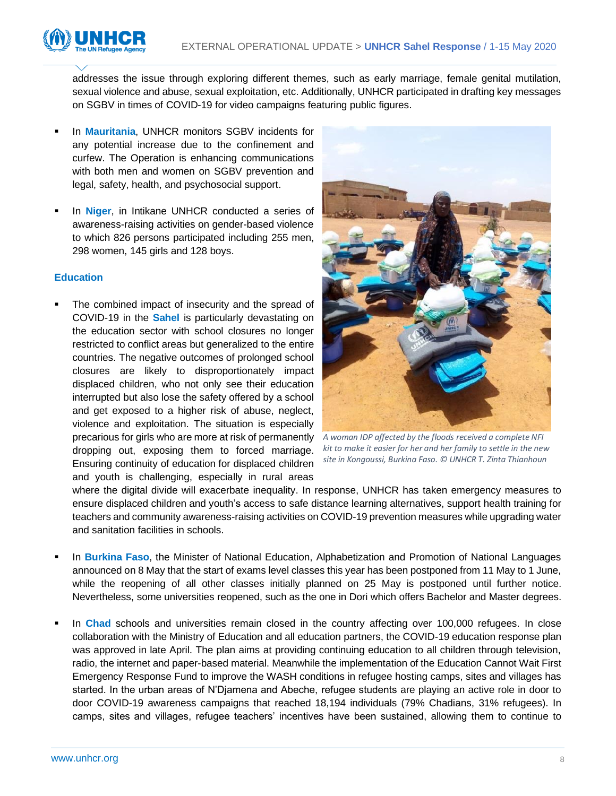

addresses the issue through exploring different themes, such as early marriage, female genital mutilation, sexual violence and abuse, sexual exploitation, etc. Additionally, UNHCR participated in drafting key messages on SGBV in times of COVID-19 for video campaigns featuring public figures.

- In **Mauritania**, UNHCR monitors SGBV incidents for any potential increase due to the confinement and curfew. The Operation is enhancing communications with both men and women on SGBV prevention and legal, safety, health, and psychosocial support.
- In **Niger**, in Intikane UNHCR conducted a series of awareness-raising activities on gender-based violence to which 826 persons participated including 255 men, 298 women, 145 girls and 128 boys.

### **Education**

The combined impact of insecurity and the spread of COVID-19 in the **Sahel** is particularly devastating on the education sector with school closures no longer restricted to conflict areas but generalized to the entire countries. The negative outcomes of prolonged school closures are likely to disproportionately impact displaced children, who not only see their education interrupted but also lose the safety offered by a school and get exposed to a higher risk of abuse, neglect, violence and exploitation. The situation is especially precarious for girls who are more at risk of permanently *A woman IDP affected by the floods received a complete NFI*  dropping out, exposing them to forced marriage. Ensuring continuity of education for displaced children and youth is challenging, especially in rural areas



*kit to make it easier for her and her family to settle in the new site in Kongoussi, Burkina Faso. © UNHCR T. Zinta Thianhoun*

where the digital divide will exacerbate inequality. In response, UNHCR has taken emergency measures to ensure displaced children and youth's access to safe distance learning alternatives, support health training for teachers and community awareness-raising activities on COVID-19 prevention measures while upgrading water and sanitation facilities in schools.

- In **Burkina Faso**, the Minister of National Education, Alphabetization and Promotion of National Languages announced on 8 May that the start of exams level classes this year has been postponed from 11 May to 1 June, while the reopening of all other classes initially planned on 25 May is postponed until further notice. Nevertheless, some universities reopened, such as the one in Dori which offers Bachelor and Master degrees.
- In Chad schools and universities remain closed in the country affecting over 100,000 refugees. In close collaboration with the Ministry of Education and all education partners, the COVID-19 education response plan was approved in late April. The plan aims at providing continuing education to all children through television, radio, the internet and paper-based material. Meanwhile the implementation of the Education Cannot Wait First Emergency Response Fund to improve the WASH conditions in refugee hosting camps, sites and villages has started. In the urban areas of N'Djamena and Abeche, refugee students are playing an active role in door to door COVID-19 awareness campaigns that reached 18,194 individuals (79% Chadians, 31% refugees). In camps, sites and villages, refugee teachers' incentives have been sustained, allowing them to continue to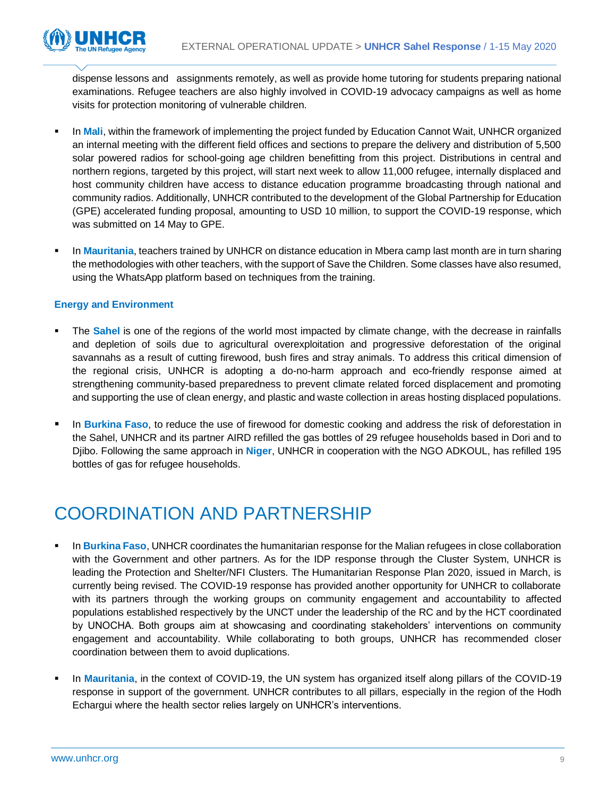

dispense lessons and assignments remotely, as well as provide home tutoring for students preparing national examinations. Refugee teachers are also highly involved in COVID-19 advocacy campaigns as well as home visits for protection monitoring of vulnerable children.

- In Mali, within the framework of implementing the project funded by Education Cannot Wait, UNHCR organized an internal meeting with the different field offices and sections to prepare the delivery and distribution of 5,500 solar powered radios for school-going age children benefitting from this project. Distributions in central and northern regions, targeted by this project, will start next week to allow 11,000 refugee, internally displaced and host community children have access to distance education programme broadcasting through national and community radios. Additionally, UNHCR contributed to the development of the Global Partnership for Education (GPE) accelerated funding proposal, amounting to USD 10 million, to support the COVID-19 response, which was submitted on 14 May to GPE.
- **In Mauritania**, teachers trained by UNHCR on distance education in Mbera camp last month are in turn sharing the methodologies with other teachers, with the support of Save the Children. Some classes have also resumed, using the WhatsApp platform based on techniques from the training.

### **Energy and Environment**

- The **Sahel** is one of the regions of the world most impacted by climate change, with the decrease in rainfalls and depletion of soils due to agricultural overexploitation and progressive deforestation of the original savannahs as a result of cutting firewood, bush fires and stray animals. To address this critical dimension of the regional crisis, UNHCR is adopting a do-no-harm approach and eco-friendly response aimed at strengthening community-based preparedness to prevent climate related forced displacement and promoting and supporting the use of clean energy, and plastic and waste collection in areas hosting displaced populations.
- In **Burkina Faso**, to reduce the use of firewood for domestic cooking and address the risk of deforestation in the Sahel, UNHCR and its partner AIRD refilled the gas bottles of 29 refugee households based in Dori and to Djibo. Following the same approach in **Niger**, UNHCR in cooperation with the NGO ADKOUL, has refilled 195 bottles of gas for refugee households.

### COORDINATION AND PARTNERSHIP

- In **Burkina Faso**, UNHCR coordinates the humanitarian response for the Malian refugees in close collaboration with the Government and other partners. As for the IDP response through the Cluster System, UNHCR is leading the Protection and Shelter/NFI Clusters. The Humanitarian Response Plan 2020, issued in March, is currently being revised. The COVID-19 response has provided another opportunity for UNHCR to collaborate with its partners through the working groups on community engagement and accountability to affected populations established respectively by the UNCT under the leadership of the RC and by the HCT coordinated by UNOCHA. Both groups aim at showcasing and coordinating stakeholders' interventions on community engagement and accountability. While collaborating to both groups, UNHCR has recommended closer coordination between them to avoid duplications.
- In Mauritania, in the context of COVID-19, the UN system has organized itself along pillars of the COVID-19 response in support of the government. UNHCR contributes to all pillars, especially in the region of the Hodh Echargui where the health sector relies largely on UNHCR's interventions.